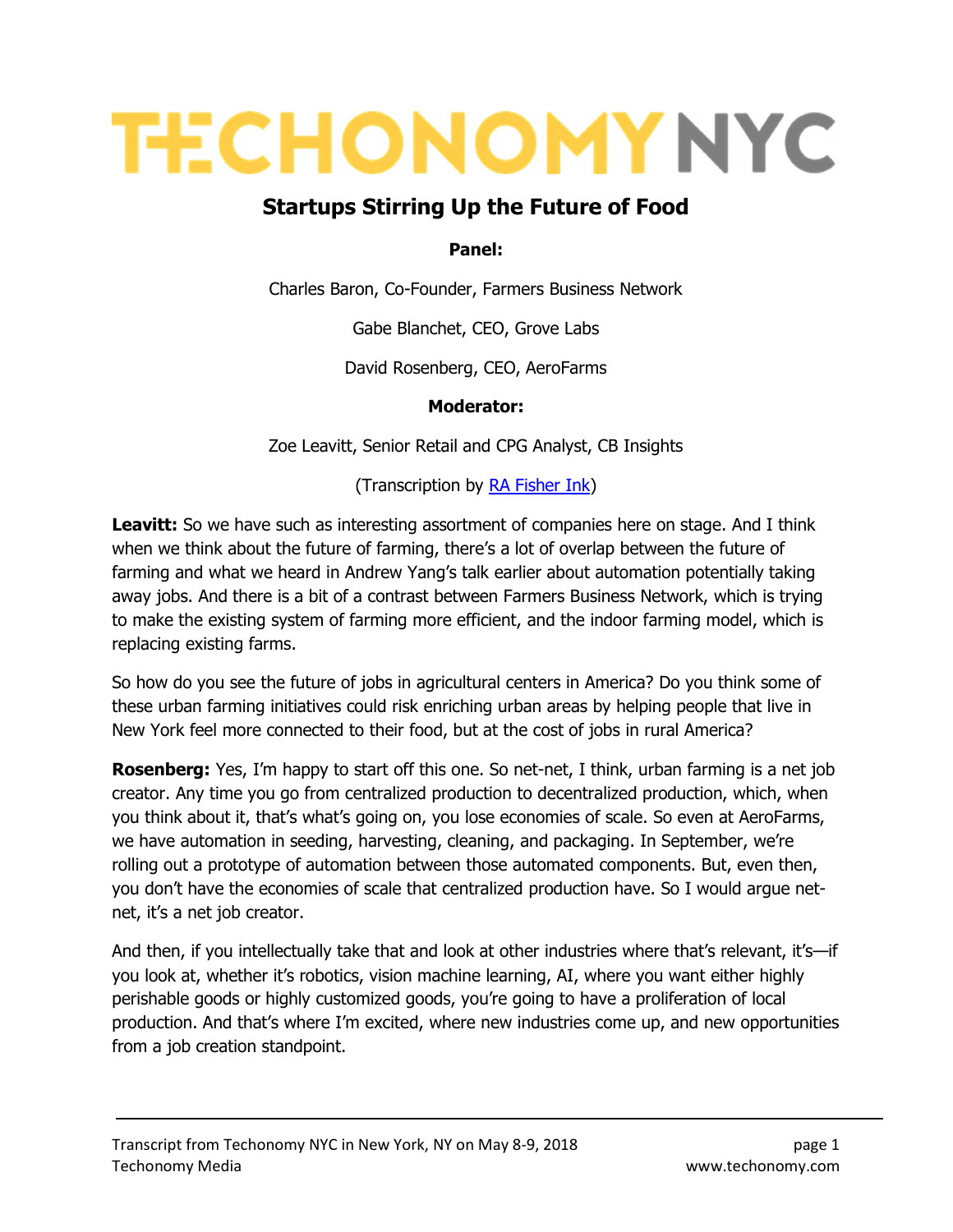# **TECHONOMY NYC**

## Startups Stirring Up the Future of Food

#### Panel:

Charles Baron, Co-Founder, Farmers Business Network

Gabe Blanchet, CEO, Grove Labs

David Rosenberg, CEO, AeroFarms

#### Moderator:

Zoe Leavitt, Senior Retail and CPG Analyst, CB Insights

(Transcription by **RA Fisher Ink)** 

**Leavitt:** So we have such as interesting assortment of companies here on stage. And I think when we think about the future of farming, there's a lot of overlap between the future of farming and what we heard in Andrew Yang's talk earlier about automation potentially taking away jobs. And there is a bit of a contrast between Farmers Business Network, which is trying to make the existing system of farming more efficient, and the indoor farming model, which is replacing existing farms.

So how do you see the future of jobs in agricultural centers in America? Do you think some of these urban farming initiatives could risk enriching urban areas by helping people that live in New York feel more connected to their food, but at the cost of jobs in rural America?

**Rosenberg:** Yes, I'm happy to start off this one. So net-net, I think, urban farming is a net job creator. Any time you go from centralized production to decentralized production, which, when you think about it, that's what's going on, you lose economies of scale. So even at AeroFarms, we have automation in seeding, harvesting, cleaning, and packaging. In September, we're rolling out a prototype of automation between those automated components. But, even then, you don't have the economies of scale that centralized production have. So I would argue netnet, it's a net job creator.

And then, if you intellectually take that and look at other industries where that's relevant, it's—if you look at, whether it's robotics, vision machine learning, AI, where you want either highly perishable goods or highly customized goods, you're going to have a proliferation of local production. And that's where I'm excited, where new industries come up, and new opportunities from a job creation standpoint.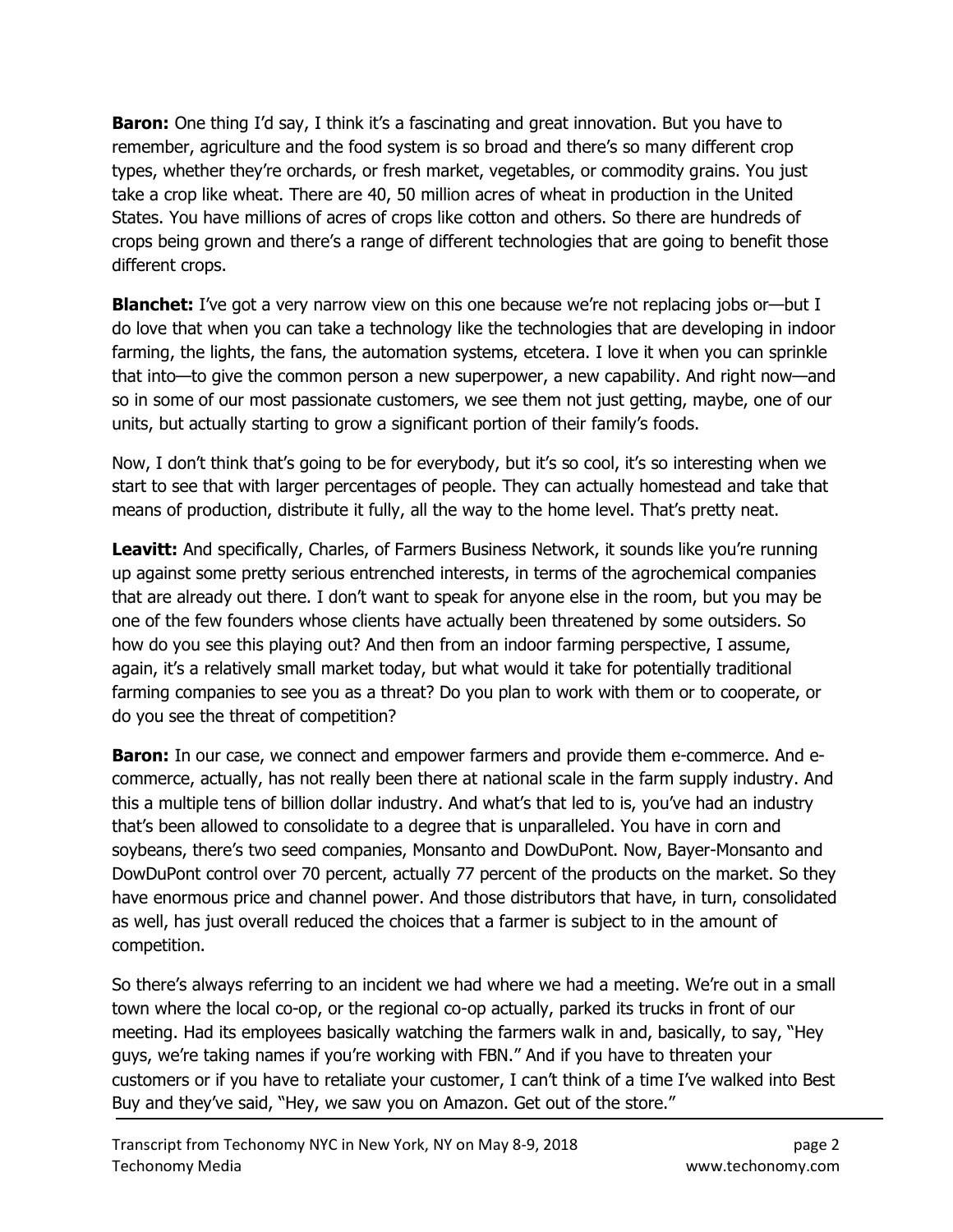**Baron:** One thing I'd say, I think it's a fascinating and great innovation. But you have to remember, agriculture and the food system is so broad and there's so many different crop types, whether they're orchards, or fresh market, vegetables, or commodity grains. You just take a crop like wheat. There are 40, 50 million acres of wheat in production in the United States. You have millions of acres of crops like cotton and others. So there are hundreds of crops being grown and there's a range of different technologies that are going to benefit those different crops.

**Blanchet:** I've got a very narrow view on this one because we're not replacing jobs or—but I do love that when you can take a technology like the technologies that are developing in indoor farming, the lights, the fans, the automation systems, etcetera. I love it when you can sprinkle that into—to give the common person a new superpower, a new capability. And right now—and so in some of our most passionate customers, we see them not just getting, maybe, one of our units, but actually starting to grow a significant portion of their family's foods.

Now, I don't think that's going to be for everybody, but it's so cool, it's so interesting when we start to see that with larger percentages of people. They can actually homestead and take that means of production, distribute it fully, all the way to the home level. That's pretty neat.

Leavitt: And specifically, Charles, of Farmers Business Network, it sounds like you're running up against some pretty serious entrenched interests, in terms of the agrochemical companies that are already out there. I don't want to speak for anyone else in the room, but you may be one of the few founders whose clients have actually been threatened by some outsiders. So how do you see this playing out? And then from an indoor farming perspective, I assume, again, it's a relatively small market today, but what would it take for potentially traditional farming companies to see you as a threat? Do you plan to work with them or to cooperate, or do you see the threat of competition?

**Baron:** In our case, we connect and empower farmers and provide them e-commerce. And ecommerce, actually, has not really been there at national scale in the farm supply industry. And this a multiple tens of billion dollar industry. And what's that led to is, you've had an industry that's been allowed to consolidate to a degree that is unparalleled. You have in corn and soybeans, there's two seed companies, Monsanto and DowDuPont. Now, Bayer-Monsanto and DowDuPont control over 70 percent, actually 77 percent of the products on the market. So they have enormous price and channel power. And those distributors that have, in turn, consolidated as well, has just overall reduced the choices that a farmer is subject to in the amount of competition.

So there's always referring to an incident we had where we had a meeting. We're out in a small town where the local co-op, or the regional co-op actually, parked its trucks in front of our meeting. Had its employees basically watching the farmers walk in and, basically, to say, "Hey guys, we're taking names if you're working with FBN." And if you have to threaten your customers or if you have to retaliate your customer, I can't think of a time I've walked into Best Buy and they've said, "Hey, we saw you on Amazon. Get out of the store."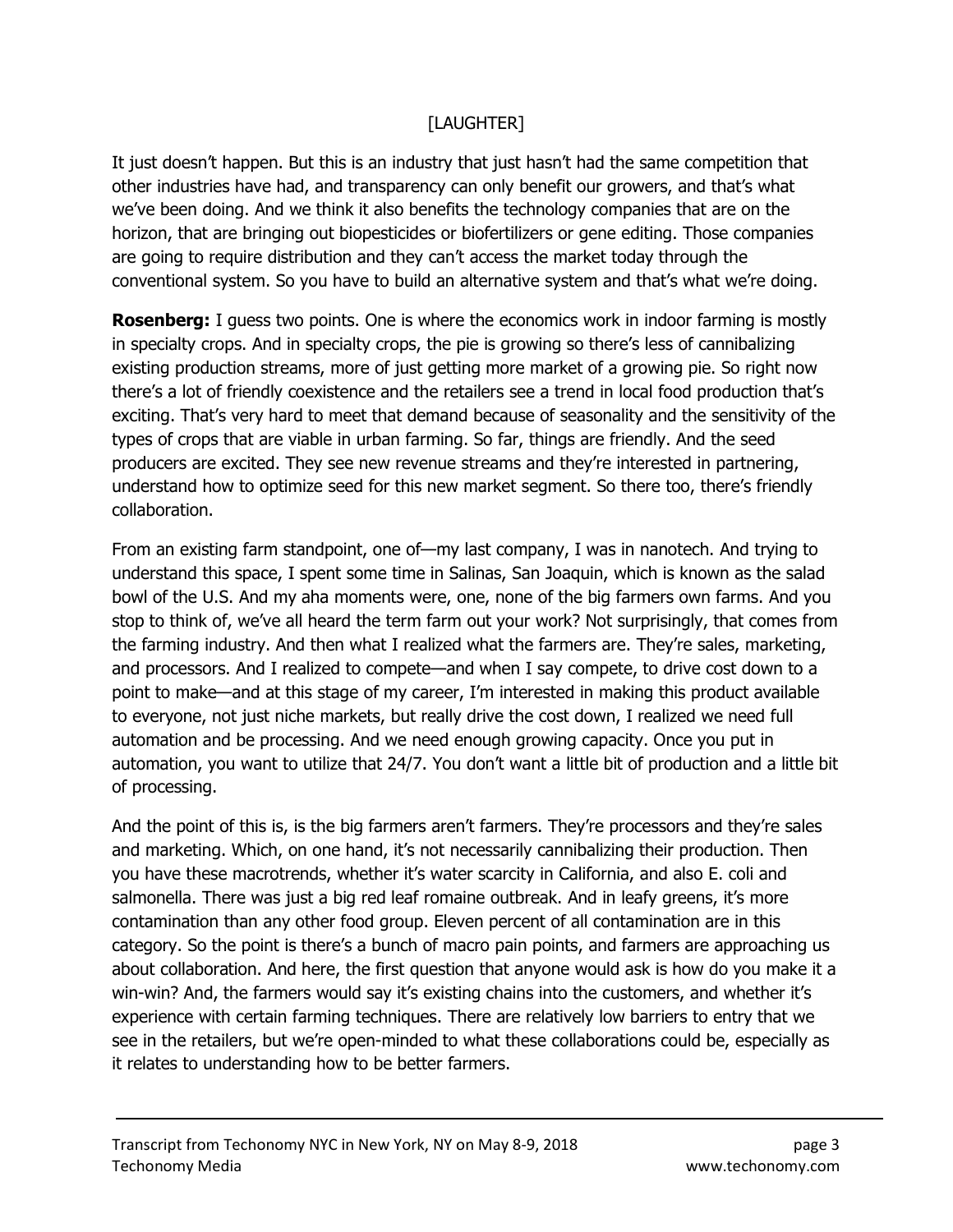### [LAUGHTER]

It just doesn't happen. But this is an industry that just hasn't had the same competition that other industries have had, and transparency can only benefit our growers, and that's what we've been doing. And we think it also benefits the technology companies that are on the horizon, that are bringing out biopesticides or biofertilizers or gene editing. Those companies are going to require distribution and they can't access the market today through the conventional system. So you have to build an alternative system and that's what we're doing.

**Rosenberg:** I guess two points. One is where the economics work in indoor farming is mostly in specialty crops. And in specialty crops, the pie is growing so there's less of cannibalizing existing production streams, more of just getting more market of a growing pie. So right now there's a lot of friendly coexistence and the retailers see a trend in local food production that's exciting. That's very hard to meet that demand because of seasonality and the sensitivity of the types of crops that are viable in urban farming. So far, things are friendly. And the seed producers are excited. They see new revenue streams and they're interested in partnering, understand how to optimize seed for this new market segment. So there too, there's friendly collaboration.

From an existing farm standpoint, one of—my last company, I was in nanotech. And trying to understand this space, I spent some time in Salinas, San Joaquin, which is known as the salad bowl of the U.S. And my aha moments were, one, none of the big farmers own farms. And you stop to think of, we've all heard the term farm out your work? Not surprisingly, that comes from the farming industry. And then what I realized what the farmers are. They're sales, marketing, and processors. And I realized to compete—and when I say compete, to drive cost down to a point to make—and at this stage of my career, I'm interested in making this product available to everyone, not just niche markets, but really drive the cost down, I realized we need full automation and be processing. And we need enough growing capacity. Once you put in automation, you want to utilize that 24/7. You don't want a little bit of production and a little bit of processing.

And the point of this is, is the big farmers aren't farmers. They're processors and they're sales and marketing. Which, on one hand, it's not necessarily cannibalizing their production. Then you have these macrotrends, whether it's water scarcity in California, and also E. coli and salmonella. There was just a big red leaf romaine outbreak. And in leafy greens, it's more contamination than any other food group. Eleven percent of all contamination are in this category. So the point is there's a bunch of macro pain points, and farmers are approaching us about collaboration. And here, the first question that anyone would ask is how do you make it a win-win? And, the farmers would say it's existing chains into the customers, and whether it's experience with certain farming techniques. There are relatively low barriers to entry that we see in the retailers, but we're open-minded to what these collaborations could be, especially as it relates to understanding how to be better farmers.